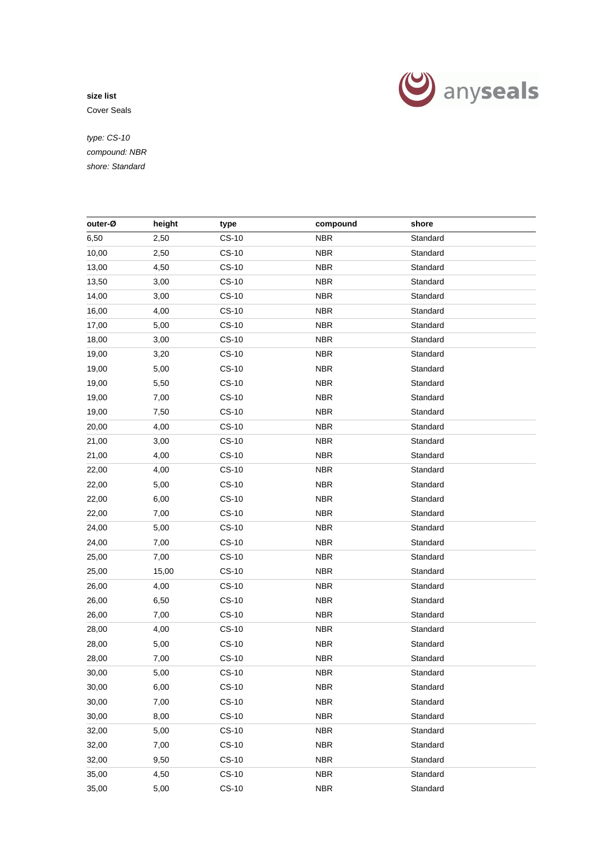

Cover Seals

| outer-Ø | height | type         | compound   | shore    |  |
|---------|--------|--------------|------------|----------|--|
| 6,50    | 2,50   | $CS-10$      | <b>NBR</b> | Standard |  |
| 10,00   | 2,50   | $CS-10$      | <b>NBR</b> | Standard |  |
| 13,00   | 4,50   | $CS-10$      | <b>NBR</b> | Standard |  |
| 13,50   | 3,00   | $CS-10$      | <b>NBR</b> | Standard |  |
| 14,00   | 3,00   | $CS-10$      | <b>NBR</b> | Standard |  |
| 16,00   | 4,00   | $CS-10$      | <b>NBR</b> | Standard |  |
| 17,00   | 5,00   | $CS-10$      | <b>NBR</b> | Standard |  |
| 18,00   | 3,00   | CS-10        | <b>NBR</b> | Standard |  |
| 19,00   | 3,20   | $CS-10$      | <b>NBR</b> | Standard |  |
| 19,00   | 5,00   | $CS-10$      | <b>NBR</b> | Standard |  |
| 19,00   | 5,50   | $CS-10$      | <b>NBR</b> | Standard |  |
| 19,00   | 7,00   | $CS-10$      | <b>NBR</b> | Standard |  |
| 19,00   | 7,50   | $CS-10$      | <b>NBR</b> | Standard |  |
| 20,00   | 4,00   | $CS-10$      | <b>NBR</b> | Standard |  |
| 21,00   | 3,00   | $CS-10$      | <b>NBR</b> | Standard |  |
| 21,00   | 4,00   | $CS-10$      | <b>NBR</b> | Standard |  |
| 22,00   | 4,00   | $CS-10$      | <b>NBR</b> | Standard |  |
| 22,00   | 5,00   | $CS-10$      | <b>NBR</b> | Standard |  |
| 22,00   | 6,00   | CS-10        | <b>NBR</b> | Standard |  |
| 22,00   | 7,00   | $CS-10$      | <b>NBR</b> | Standard |  |
| 24,00   | 5,00   | $CS-10$      | <b>NBR</b> | Standard |  |
| 24,00   | 7,00   | $CS-10$      | <b>NBR</b> | Standard |  |
| 25,00   | 7,00   | $CS-10$      | <b>NBR</b> | Standard |  |
| 25,00   | 15,00  | $CS-10$      | <b>NBR</b> | Standard |  |
| 26,00   | 4,00   | $CS-10$      | <b>NBR</b> | Standard |  |
| 26,00   | 6,50   | $CS-10$      | <b>NBR</b> | Standard |  |
| 26,00   | 7,00   | $CS-10$      | <b>NBR</b> | Standard |  |
| 28,00   | 4,00   | $CS-10$      | <b>NBR</b> | Standard |  |
| 28,00   | 5,00   | $CS-10$      | <b>NBR</b> | Standard |  |
| 28,00   | 7,00   | $CS-10$      | <b>NBR</b> | Standard |  |
| 30,00   | 5,00   | $CS-10$      | <b>NBR</b> | Standard |  |
| 30,00   | 6,00   | $CS-10$      | <b>NBR</b> | Standard |  |
| 30,00   | 7,00   | <b>CS-10</b> | <b>NBR</b> | Standard |  |
| 30,00   | 8,00   | <b>CS-10</b> | <b>NBR</b> | Standard |  |
| 32,00   | 5,00   | <b>CS-10</b> | <b>NBR</b> | Standard |  |
| 32,00   | 7,00   | $CS-10$      | <b>NBR</b> | Standard |  |
| 32,00   | 9,50   | $CS-10$      | <b>NBR</b> | Standard |  |
| 35,00   | 4,50   | $CS-10$      | <b>NBR</b> | Standard |  |
| 35,00   | 5,00   | <b>CS-10</b> | <b>NBR</b> | Standard |  |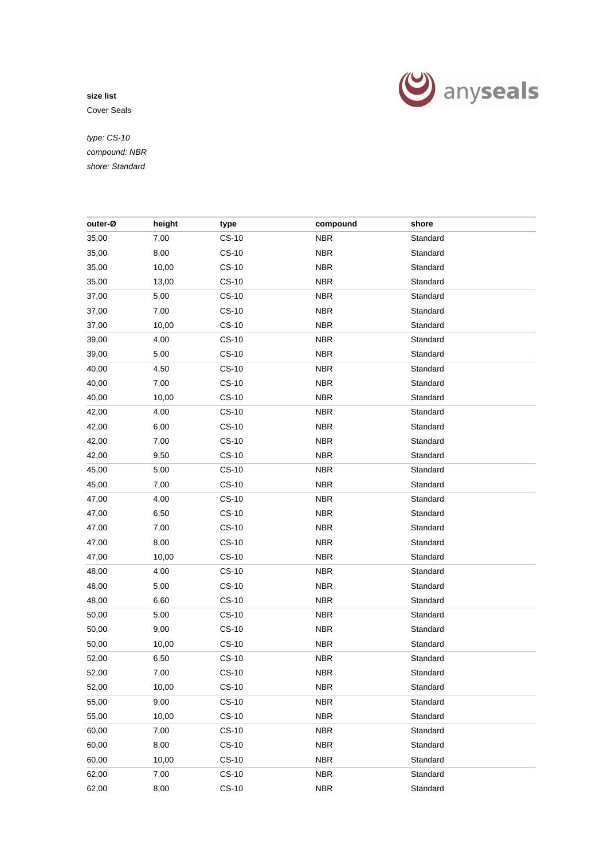

Cover Seals

| outer-Ø | height | type         | compound   | shore    |  |
|---------|--------|--------------|------------|----------|--|
| 35,00   | 7,00   | $CS-10$      | <b>NBR</b> | Standard |  |
| 35,00   | 8,00   | $CS-10$      | <b>NBR</b> | Standard |  |
| 35,00   | 10,00  | $CS-10$      | <b>NBR</b> | Standard |  |
| 35,00   | 13,00  | $CS-10$      | <b>NBR</b> | Standard |  |
| 37,00   | 5,00   | $CS-10$      | <b>NBR</b> | Standard |  |
| 37,00   | 7,00   | $CS-10$      | <b>NBR</b> | Standard |  |
| 37,00   | 10,00  | CS-10        | <b>NBR</b> | Standard |  |
| 39,00   | 4,00   | $CS-10$      | <b>NBR</b> | Standard |  |
| 39,00   | 5,00   | $CS-10$      | <b>NBR</b> | Standard |  |
| 40,00   | 4,50   | $CS-10$      | <b>NBR</b> | Standard |  |
| 40,00   | 7,00   | $CS-10$      | <b>NBR</b> | Standard |  |
| 40,00   | 10,00  | $CS-10$      | <b>NBR</b> | Standard |  |
|         |        |              | <b>NBR</b> | Standard |  |
| 42,00   | 4,00   | $CS-10$      |            |          |  |
| 42,00   | 6,00   | $CS-10$      | <b>NBR</b> | Standard |  |
| 42,00   | 7,00   | $CS-10$      | <b>NBR</b> | Standard |  |
| 42,00   | 9,50   | $CS-10$      | <b>NBR</b> | Standard |  |
| 45,00   | 5,00   | $CS-10$      | <b>NBR</b> | Standard |  |
| 45,00   | 7,00   | $CS-10$      | <b>NBR</b> | Standard |  |
| 47,00   | 4,00   | $CS-10$      | <b>NBR</b> | Standard |  |
| 47,00   | 6,50   | $CS-10$      | <b>NBR</b> | Standard |  |
| 47,00   | 7,00   | $CS-10$      | <b>NBR</b> | Standard |  |
| 47,00   | 8,00   | $CS-10$      | <b>NBR</b> | Standard |  |
| 47,00   | 10,00  | $CS-10$      | <b>NBR</b> | Standard |  |
| 48,00   | 4,00   | $CS-10$      | <b>NBR</b> | Standard |  |
| 48,00   | 5,00   | $CS-10$      | <b>NBR</b> | Standard |  |
| 48,00   | 6,60   | $CS-10$      | <b>NBR</b> | Standard |  |
| 50,00   | 5,00   | $CS-10$      | <b>NBR</b> | Standard |  |
| 50,00   | 9,00   | $CS-10$      | <b>NBR</b> | Standard |  |
| 50,00   | 10,00  | <b>CS-10</b> | <b>NBR</b> | Standard |  |
| 52,00   | 6,50   | $CS-10$      | <b>NBR</b> | Standard |  |
| 52,00   | 7,00   | $CS-10$      | <b>NBR</b> | Standard |  |
| 52,00   | 10,00  | $CS-10$      | <b>NBR</b> | Standard |  |
| 55,00   | 9,00   | $CS-10$      | <b>NBR</b> | Standard |  |
| 55,00   | 10,00  | $CS-10$      | <b>NBR</b> | Standard |  |
| 60,00   | 7,00   | <b>CS-10</b> | <b>NBR</b> | Standard |  |
| 60,00   | 8,00   | $CS-10$      | <b>NBR</b> | Standard |  |
| 60,00   | 10,00  | $CS-10$      | <b>NBR</b> | Standard |  |
| 62,00   | 7,00   | $CS-10$      | <b>NBR</b> | Standard |  |
| 62,00   | 8,00   | $CS-10$      | <b>NBR</b> | Standard |  |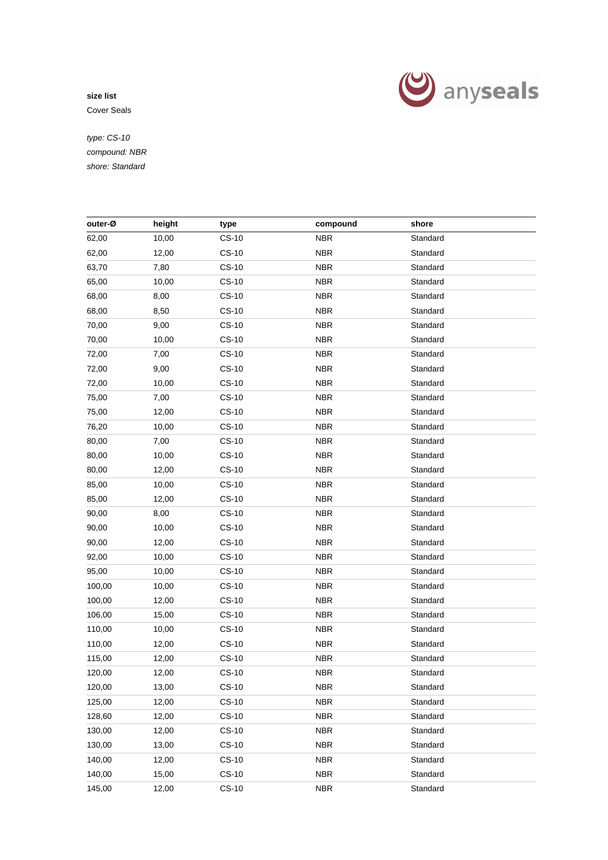

Cover Seals

| height<br>outer-Ø<br>compound<br>shore<br>type<br>$CS-10$<br><b>NBR</b><br>Standard<br>62,00<br>10,00<br>62,00<br>$CS-10$<br><b>NBR</b><br>Standard<br>12,00<br><b>NBR</b><br>63,70<br>7,80<br>$CS-10$<br>Standard<br>65,00<br>$CS-10$<br><b>NBR</b><br>Standard<br>10,00<br>68,00<br>8,00<br>$CS-10$<br><b>NBR</b><br>Standard<br>68,00<br>8,50<br>$CS-10$<br><b>NBR</b><br>Standard<br>70,00<br>9,00<br>$CS-10$<br><b>NBR</b><br>Standard<br>70,00<br>$CS-10$<br><b>NBR</b><br>Standard<br>10,00<br>72,00<br>$CS-10$<br><b>NBR</b><br>7,00<br>Standard<br><b>NBR</b><br>72,00<br>9,00<br>$CS-10$<br>Standard<br>72,00<br>10,00<br>$CS-10$<br><b>NBR</b><br>Standard<br>75,00<br><b>NBR</b><br>7,00<br>$CS-10$<br>Standard<br><b>NBR</b><br>75,00<br>12,00<br>$CS-10$<br>Standard<br>76,20<br>$CS-10$<br><b>NBR</b><br>10,00<br>Standard<br>$CS-10$<br><b>NBR</b><br>Standard<br>80,00<br>7,00<br>80,00<br>CS-10<br><b>NBR</b><br>Standard<br>10,00<br><b>NBR</b><br>80,00<br>12,00<br>$CS-10$<br>Standard<br>$CS-10$<br><b>NBR</b><br>Standard<br>85,00<br>10,00<br>$CS-10$<br><b>NBR</b><br>Standard<br>85,00<br>12,00<br>$CS-10$<br><b>NBR</b><br>90,00<br>8,00<br>Standard<br><b>NBR</b><br>90,00<br>10,00<br>$CS-10$<br>Standard<br><b>NBR</b><br>90,00<br>12,00<br>$CS-10$<br>Standard<br><b>NBR</b><br>92,00<br>10,00<br>$CS-10$<br>Standard<br>95,00<br>$CS-10$<br><b>NBR</b><br>10,00<br>Standard |
|-------------------------------------------------------------------------------------------------------------------------------------------------------------------------------------------------------------------------------------------------------------------------------------------------------------------------------------------------------------------------------------------------------------------------------------------------------------------------------------------------------------------------------------------------------------------------------------------------------------------------------------------------------------------------------------------------------------------------------------------------------------------------------------------------------------------------------------------------------------------------------------------------------------------------------------------------------------------------------------------------------------------------------------------------------------------------------------------------------------------------------------------------------------------------------------------------------------------------------------------------------------------------------------------------------------------------------------------------------------------------------------------------------------|
|                                                                                                                                                                                                                                                                                                                                                                                                                                                                                                                                                                                                                                                                                                                                                                                                                                                                                                                                                                                                                                                                                                                                                                                                                                                                                                                                                                                                             |
|                                                                                                                                                                                                                                                                                                                                                                                                                                                                                                                                                                                                                                                                                                                                                                                                                                                                                                                                                                                                                                                                                                                                                                                                                                                                                                                                                                                                             |
|                                                                                                                                                                                                                                                                                                                                                                                                                                                                                                                                                                                                                                                                                                                                                                                                                                                                                                                                                                                                                                                                                                                                                                                                                                                                                                                                                                                                             |
|                                                                                                                                                                                                                                                                                                                                                                                                                                                                                                                                                                                                                                                                                                                                                                                                                                                                                                                                                                                                                                                                                                                                                                                                                                                                                                                                                                                                             |
|                                                                                                                                                                                                                                                                                                                                                                                                                                                                                                                                                                                                                                                                                                                                                                                                                                                                                                                                                                                                                                                                                                                                                                                                                                                                                                                                                                                                             |
|                                                                                                                                                                                                                                                                                                                                                                                                                                                                                                                                                                                                                                                                                                                                                                                                                                                                                                                                                                                                                                                                                                                                                                                                                                                                                                                                                                                                             |
|                                                                                                                                                                                                                                                                                                                                                                                                                                                                                                                                                                                                                                                                                                                                                                                                                                                                                                                                                                                                                                                                                                                                                                                                                                                                                                                                                                                                             |
|                                                                                                                                                                                                                                                                                                                                                                                                                                                                                                                                                                                                                                                                                                                                                                                                                                                                                                                                                                                                                                                                                                                                                                                                                                                                                                                                                                                                             |
|                                                                                                                                                                                                                                                                                                                                                                                                                                                                                                                                                                                                                                                                                                                                                                                                                                                                                                                                                                                                                                                                                                                                                                                                                                                                                                                                                                                                             |
|                                                                                                                                                                                                                                                                                                                                                                                                                                                                                                                                                                                                                                                                                                                                                                                                                                                                                                                                                                                                                                                                                                                                                                                                                                                                                                                                                                                                             |
|                                                                                                                                                                                                                                                                                                                                                                                                                                                                                                                                                                                                                                                                                                                                                                                                                                                                                                                                                                                                                                                                                                                                                                                                                                                                                                                                                                                                             |
|                                                                                                                                                                                                                                                                                                                                                                                                                                                                                                                                                                                                                                                                                                                                                                                                                                                                                                                                                                                                                                                                                                                                                                                                                                                                                                                                                                                                             |
|                                                                                                                                                                                                                                                                                                                                                                                                                                                                                                                                                                                                                                                                                                                                                                                                                                                                                                                                                                                                                                                                                                                                                                                                                                                                                                                                                                                                             |
|                                                                                                                                                                                                                                                                                                                                                                                                                                                                                                                                                                                                                                                                                                                                                                                                                                                                                                                                                                                                                                                                                                                                                                                                                                                                                                                                                                                                             |
|                                                                                                                                                                                                                                                                                                                                                                                                                                                                                                                                                                                                                                                                                                                                                                                                                                                                                                                                                                                                                                                                                                                                                                                                                                                                                                                                                                                                             |
|                                                                                                                                                                                                                                                                                                                                                                                                                                                                                                                                                                                                                                                                                                                                                                                                                                                                                                                                                                                                                                                                                                                                                                                                                                                                                                                                                                                                             |
|                                                                                                                                                                                                                                                                                                                                                                                                                                                                                                                                                                                                                                                                                                                                                                                                                                                                                                                                                                                                                                                                                                                                                                                                                                                                                                                                                                                                             |
|                                                                                                                                                                                                                                                                                                                                                                                                                                                                                                                                                                                                                                                                                                                                                                                                                                                                                                                                                                                                                                                                                                                                                                                                                                                                                                                                                                                                             |
|                                                                                                                                                                                                                                                                                                                                                                                                                                                                                                                                                                                                                                                                                                                                                                                                                                                                                                                                                                                                                                                                                                                                                                                                                                                                                                                                                                                                             |
|                                                                                                                                                                                                                                                                                                                                                                                                                                                                                                                                                                                                                                                                                                                                                                                                                                                                                                                                                                                                                                                                                                                                                                                                                                                                                                                                                                                                             |
|                                                                                                                                                                                                                                                                                                                                                                                                                                                                                                                                                                                                                                                                                                                                                                                                                                                                                                                                                                                                                                                                                                                                                                                                                                                                                                                                                                                                             |
|                                                                                                                                                                                                                                                                                                                                                                                                                                                                                                                                                                                                                                                                                                                                                                                                                                                                                                                                                                                                                                                                                                                                                                                                                                                                                                                                                                                                             |
|                                                                                                                                                                                                                                                                                                                                                                                                                                                                                                                                                                                                                                                                                                                                                                                                                                                                                                                                                                                                                                                                                                                                                                                                                                                                                                                                                                                                             |
|                                                                                                                                                                                                                                                                                                                                                                                                                                                                                                                                                                                                                                                                                                                                                                                                                                                                                                                                                                                                                                                                                                                                                                                                                                                                                                                                                                                                             |
|                                                                                                                                                                                                                                                                                                                                                                                                                                                                                                                                                                                                                                                                                                                                                                                                                                                                                                                                                                                                                                                                                                                                                                                                                                                                                                                                                                                                             |
| $CS-10$<br><b>NBR</b><br>100,00<br>10,00<br>Standard                                                                                                                                                                                                                                                                                                                                                                                                                                                                                                                                                                                                                                                                                                                                                                                                                                                                                                                                                                                                                                                                                                                                                                                                                                                                                                                                                        |
| $CS-10$<br><b>NBR</b><br>Standard<br>100,00<br>12,00                                                                                                                                                                                                                                                                                                                                                                                                                                                                                                                                                                                                                                                                                                                                                                                                                                                                                                                                                                                                                                                                                                                                                                                                                                                                                                                                                        |
| $CS-10$<br><b>NBR</b><br>106,00<br>15,00<br>Standard                                                                                                                                                                                                                                                                                                                                                                                                                                                                                                                                                                                                                                                                                                                                                                                                                                                                                                                                                                                                                                                                                                                                                                                                                                                                                                                                                        |
| <b>NBR</b><br>110,00<br>10,00<br>$CS-10$<br>Standard                                                                                                                                                                                                                                                                                                                                                                                                                                                                                                                                                                                                                                                                                                                                                                                                                                                                                                                                                                                                                                                                                                                                                                                                                                                                                                                                                        |
| 110,00<br>$CS-10$<br><b>NBR</b><br>Standard<br>12,00                                                                                                                                                                                                                                                                                                                                                                                                                                                                                                                                                                                                                                                                                                                                                                                                                                                                                                                                                                                                                                                                                                                                                                                                                                                                                                                                                        |
| $CS-10$<br>Standard<br>115,00<br>12,00<br><b>NBR</b>                                                                                                                                                                                                                                                                                                                                                                                                                                                                                                                                                                                                                                                                                                                                                                                                                                                                                                                                                                                                                                                                                                                                                                                                                                                                                                                                                        |
| 120,00<br>12,00<br>$CS-10$<br><b>NBR</b><br>Standard                                                                                                                                                                                                                                                                                                                                                                                                                                                                                                                                                                                                                                                                                                                                                                                                                                                                                                                                                                                                                                                                                                                                                                                                                                                                                                                                                        |
| 120,00<br>$CS-10$<br><b>NBR</b><br>Standard<br>13,00                                                                                                                                                                                                                                                                                                                                                                                                                                                                                                                                                                                                                                                                                                                                                                                                                                                                                                                                                                                                                                                                                                                                                                                                                                                                                                                                                        |
| $CS-10$<br>Standard<br>125,00<br><b>NBR</b><br>12,00                                                                                                                                                                                                                                                                                                                                                                                                                                                                                                                                                                                                                                                                                                                                                                                                                                                                                                                                                                                                                                                                                                                                                                                                                                                                                                                                                        |
| $CS-10$<br><b>NBR</b><br>Standard<br>128,60<br>12,00                                                                                                                                                                                                                                                                                                                                                                                                                                                                                                                                                                                                                                                                                                                                                                                                                                                                                                                                                                                                                                                                                                                                                                                                                                                                                                                                                        |
| $CS-10$<br><b>NBR</b><br>Standard<br>130,00<br>12,00                                                                                                                                                                                                                                                                                                                                                                                                                                                                                                                                                                                                                                                                                                                                                                                                                                                                                                                                                                                                                                                                                                                                                                                                                                                                                                                                                        |
| $CS-10$<br><b>NBR</b><br>Standard<br>130,00<br>13,00                                                                                                                                                                                                                                                                                                                                                                                                                                                                                                                                                                                                                                                                                                                                                                                                                                                                                                                                                                                                                                                                                                                                                                                                                                                                                                                                                        |
| <b>CS-10</b><br><b>NBR</b><br>Standard<br>140,00<br>12,00                                                                                                                                                                                                                                                                                                                                                                                                                                                                                                                                                                                                                                                                                                                                                                                                                                                                                                                                                                                                                                                                                                                                                                                                                                                                                                                                                   |
| 140,00<br>$CS-10$<br><b>NBR</b><br>Standard<br>15,00                                                                                                                                                                                                                                                                                                                                                                                                                                                                                                                                                                                                                                                                                                                                                                                                                                                                                                                                                                                                                                                                                                                                                                                                                                                                                                                                                        |
| $CS-10$<br>Standard<br>145,00<br>12,00<br><b>NBR</b>                                                                                                                                                                                                                                                                                                                                                                                                                                                                                                                                                                                                                                                                                                                                                                                                                                                                                                                                                                                                                                                                                                                                                                                                                                                                                                                                                        |